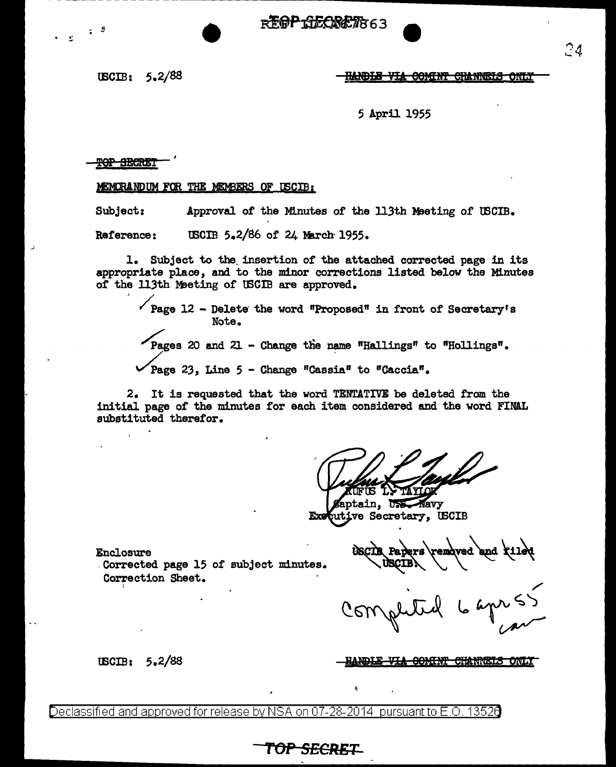- -- ------------------------------------

tBCIB: 5.2/88

 $\sim$  3

# **FEOP RECASETS 63**<br>- HANDLE VIA COMINT CHANNELS ONLY

5 April 1955

**POP SECRET** 

#### MEMORANDUM FOR THE MEMBERS OF USCIB:

Subject: Approval of the Minutes of the 113th Meeting of USCIB.

Reference: USCIB 5.2/86 of 24 March 1955.

1. Subject to the insertion of the attached corrected page in its appropriate place, and to the minor corrections listed below the Minutes of the 113th Meeting of USCIB are approved.

 $\sqrt{\frac{2}{12}}$  - Delete the word "Proposed" in front of Secretary's Note. Pages 20 and 21 - Change the name "Hallings" to "Hollings".

Page 23, Line  $5$  - Change "Cassia" to "Caccia".

2. It is requested that the word TENTATIVE be deleted from the initial page of the minutes for each item considered and the word FINAL substituted therefor.

TF TS

aptain, USS Navy cutive Secretary, USCIB Exe

Enclosure

tBCIB: 5.2/88

.Corrected page 15 of subject minutes. Correction Sheet.

removed and tiles

<u>ANDLE VIA COMINT CHANNEIS ONLY</u>

Declassified and approved for release by NSA on 07-28-2014 pursuant to E.O. 13520

**TOP SECR£1=-**